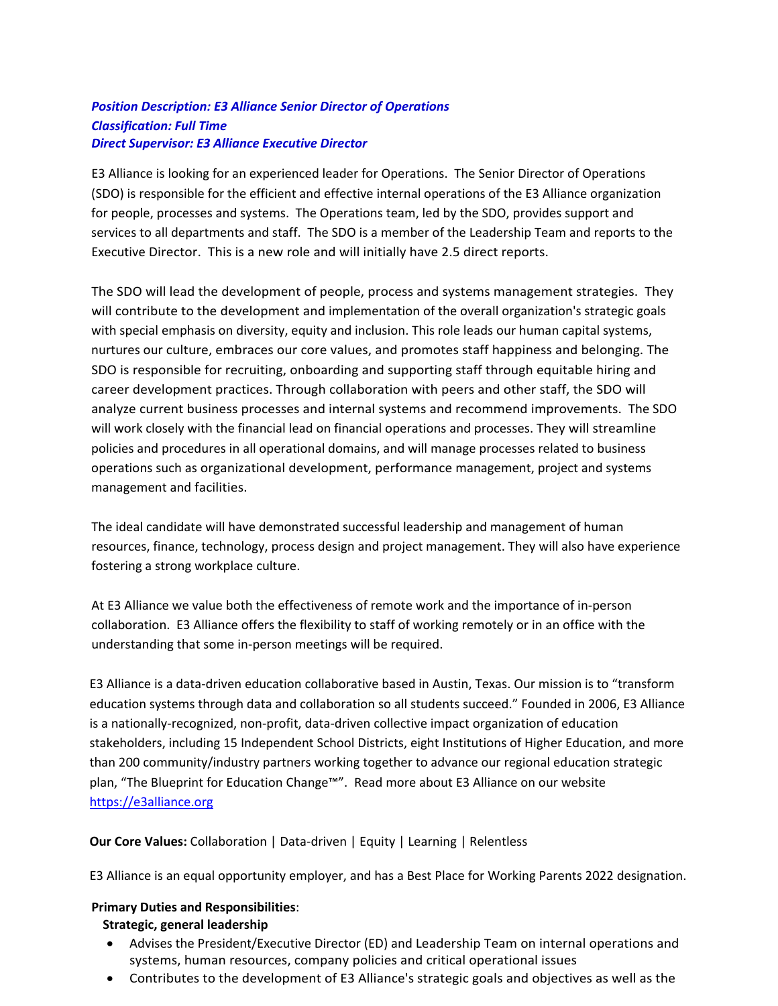# *Position Description: E3 Alliance Senior Director of Operations Classification: Full Time Direct Supervisor: E3 Alliance Executive Director*

E3 Alliance is looking for an experienced leader for Operations. The Senior Director of Operations (SDO) is responsible for the efficient and effective internal operations of the E3 Alliance organization for people, processes and systems. The Operations team, led by the SDO, provides support and services to all departments and staff. The SDO is a member of the Leadership Team and reports to the Executive Director. This is a new role and will initially have 2.5 direct reports.

The SDO will lead the development of people, process and systems management strategies. They will contribute to the development and implementation of the overall organization's strategic goals with special emphasis on diversity, equity and inclusion. This role leads our human capital systems, nurtures our culture, embraces our core values, and promotes staff happiness and belonging. The SDO is responsible for recruiting, onboarding and supporting staff through equitable hiring and career development practices. Through collaboration with peers and other staff, the SDO will analyze current business processes and internal systems and recommend improvements. The SDO will work closely with the financial lead on financial operations and processes. They will streamline policies and procedures in all operational domains, and will manage processes related to business operations such as organizational development, performance management, project and systems management and facilities.

The ideal candidate will have demonstrated successful leadership and management of human resources, finance, technology, process design and project management. They will also have experience fostering a strong workplace culture.

At E3 Alliance we value both the effectiveness of remote work and the importance of in-person collaboration. E3 Alliance offers the flexibility to staff of working remotely or in an office with the understanding that some in-person meetings will be required.

E3 Alliance is a data-driven education collaborative based in Austin, Texas. Our mission is to "transform education systems through data and collaboration so all students succeed." Founded in 2006, E3 Alliance is a nationally-recognized, non-profit, data-driven collective impact organization of education stakeholders, including 15 Independent School Districts, eight Institutions of Higher Education, and more than 200 community/industry partners working together to advance our regional education strategic plan, "The Blueprint for Education Change™". Read more about E3 Alliance on our website [https://e3alliance.org](https://e3alliance.org/)

**Our Core Values:** Collaboration | Data-driven | Equity | Learning | Relentless

E3 Alliance is an equal opportunity employer, and has a Best Place for Working Parents 2022 designation.

#### **Primary Duties and Responsibilities**:

#### **Strategic, general leadership**

- Advises the President/Executive Director (ED) and Leadership Team on internal operations and systems, human resources, company policies and critical operational issues
- Contributes to the development of E3 Alliance's strategic goals and objectives as well as the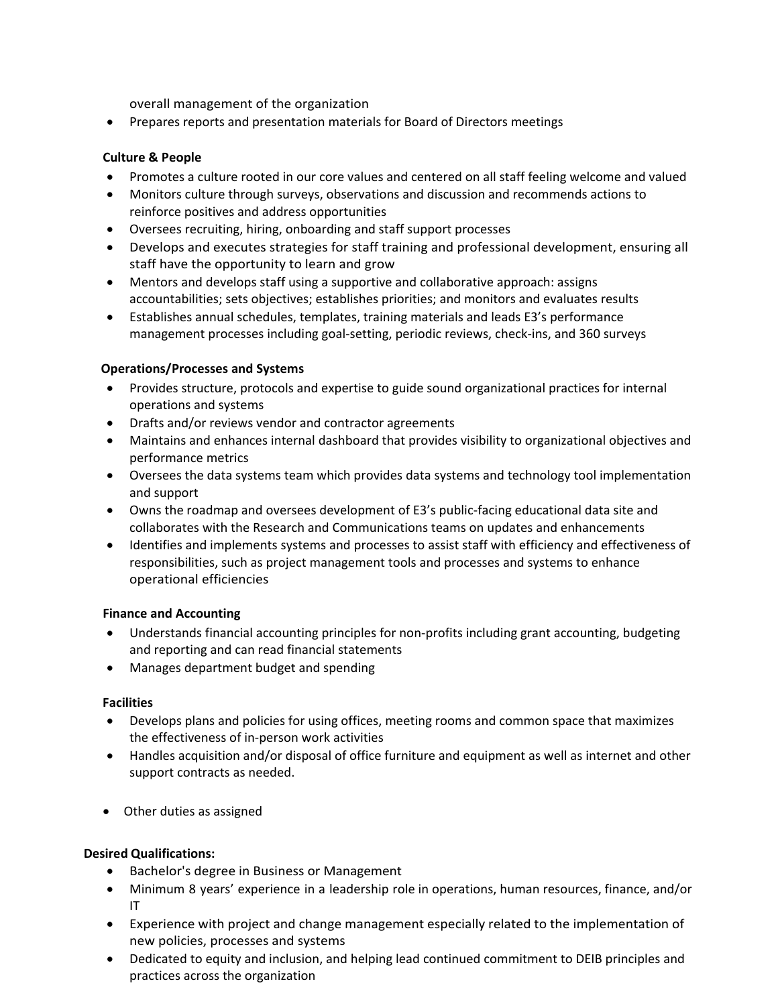overall management of the organization

• Prepares reports and presentation materials for Board of Directors meetings

## **Culture & People**

- Promotes a culture rooted in our core values and centered on all staff feeling welcome and valued
- Monitors culture through surveys, observations and discussion and recommends actions to reinforce positives and address opportunities
- Oversees recruiting, hiring, onboarding and staff support processes
- Develops and executes strategies for staff training and professional development, ensuring all staff have the opportunity to learn and grow
- Mentors and develops staff using a supportive and collaborative approach: assigns accountabilities; sets objectives; establishes priorities; and monitors and evaluates results
- Establishes annual schedules, templates, training materials and leads E3's performance management processes including goal-setting, periodic reviews, check-ins, and 360 surveys

## **Operations/Processes and Systems**

- Provides structure, protocols and expertise to guide sound organizational practices for internal operations and systems
- Drafts and/or reviews vendor and contractor agreements
- Maintains and enhances internal dashboard that provides visibility to organizational objectives and performance metrics
- Oversees the data systems team which provides data systems and technology tool implementation and support
- Owns the roadmap and oversees development of E3's public-facing educational data site and collaborates with the Research and Communications teams on updates and enhancements
- Identifies and implements systems and processes to assist staff with efficiency and effectiveness of responsibilities, such as project management tools and processes and systems to enhance operational efficiencies

#### **Finance and Accounting**

- Understands financial accounting principles for non-profits including grant accounting, budgeting and reporting and can read financial statements
- Manages department budget and spending

#### **Facilities**

- Develops plans and policies for using offices, meeting rooms and common space that maximizes the effectiveness of in-person work activities
- Handles acquisition and/or disposal of office furniture and equipment as well as internet and other support contracts as needed.
- Other duties as assigned

## **Desired Qualifications:**

- Bachelor's degree in Business or Management
- Minimum 8 years' experience in a leadership role in operations, human resources, finance, and/or IT
- Experience with project and change management especially related to the implementation of new policies, processes and systems
- Dedicated to equity and inclusion, and helping lead continued commitment to DEIB principles and practices across the organization